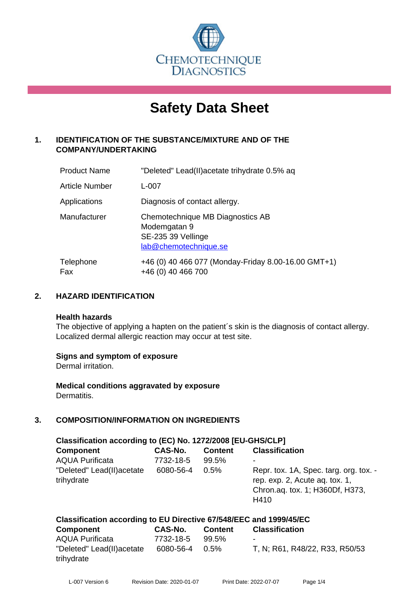

# **Safety Data Sheet**

## **1. IDENTIFICATION OF THE SUBSTANCE/MIXTURE AND OF THE COMPANY/UNDERTAKING**

| <b>Product Name</b>   | "Deleted" Lead(II) acetate trihy drate 0.5% aq                                                  |
|-----------------------|-------------------------------------------------------------------------------------------------|
| <b>Article Number</b> | L-007                                                                                           |
| Applications          | Diagnosis of contact allergy.                                                                   |
| Manufacturer          | Chemotechnique MB Diagnostics AB<br>Modemgatan 9<br>SE-235 39 Vellinge<br>lab@chemotechnique.se |
| Telephone<br>Fax      | +46 (0) 40 466 077 (Monday-Friday 8.00-16.00 GMT+1)<br>+46 (0) 40 466 700                       |

## **2. HAZARD IDENTIFICATION**

#### **Health hazards**

The objective of applying a hapten on the patient's skin is the diagnosis of contact allergy. Localized dermal allergic reaction may occur at test site.

## **Signs and symptom of exposure**

Dermal irritation.

**Medical conditions aggravated by exposure** Dermatitis.

# **3. COMPOSITION/INFORMATION ON INGREDIENTS**

| Classification according to (EC) No. 1272/2008 [EU-GHS/CLP] |           |                |                                                                                                                     |  |  |
|-------------------------------------------------------------|-----------|----------------|---------------------------------------------------------------------------------------------------------------------|--|--|
| <b>Component</b>                                            | CAS-No.   | <b>Content</b> | <b>Classification</b>                                                                                               |  |  |
| <b>AQUA Purificata</b>                                      | 7732-18-5 | 99.5%          | ۰                                                                                                                   |  |  |
| "Deleted" Lead(II) acetate<br>trihydrate                    | 6080-56-4 | 0.5%           | Repr. tox. 1A, Spec. targ. org. tox. -<br>rep. exp. 2, Acute ag. tox. 1,<br>Chron.aq. tox. 1; H360Df, H373,<br>H410 |  |  |

| Classification according to EU Directive 67/548/EEC and 1999/45/EC |                |         |                                |  |
|--------------------------------------------------------------------|----------------|---------|--------------------------------|--|
| Component                                                          | CAS-No.        | Content | <b>Classification</b>          |  |
| <b>AQUA Purificata</b>                                             | 7732-18-5      | 99.5%   |                                |  |
| "Deleted" Lead(II)acetate                                          | 6080-56-4 0.5% |         | T, N; R61, R48/22, R33, R50/53 |  |
| trihydrate                                                         |                |         |                                |  |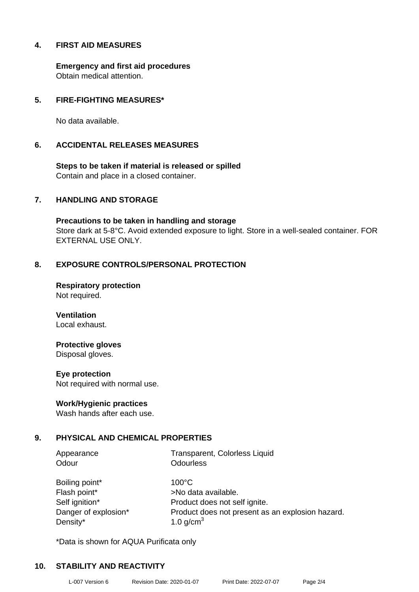## **4. FIRST AID MEASURES**

**Emergency and first aid procedures** Obtain medical attention.

## **5. FIRE-FIGHTING MEASURES\***

No data available.

#### **6. ACCIDENTAL RELEASES MEASURES**

**Steps to be taken if material is released or spilled** Contain and place in a closed container.

### **7. HANDLING AND STORAGE**

**Precautions to be taken in handling and storage** Store dark at 5-8°C. Avoid extended exposure to light. Store in a well-sealed container. FOR EXTERNAL USE ONLY.

## **8. EXPOSURE CONTROLS/PERSONAL PROTECTION**

**Respiratory protection** Not required.

**Ventilation** Local exhaust.

## **Protective gloves**

Disposal gloves.

#### **Eye protection**

Not required with normal use.

#### **Work/Hygienic practices**

Wash hands after each use.

## **9. PHYSICAL AND CHEMICAL PROPERTIES**

Odour **Odourless** 

Appearance Transparent, Colorless Liquid

Boiling point\* 100°C Flash point\* >No data available. Density\*  $1.0 \text{ g/cm}^3$ 

Self ignition\* Product does not self ignite. Danger of explosion\* Product does not present as an explosion hazard.

\*Data is shown for AQUA Purificata only

## **10. STABILITY AND REACTIVITY**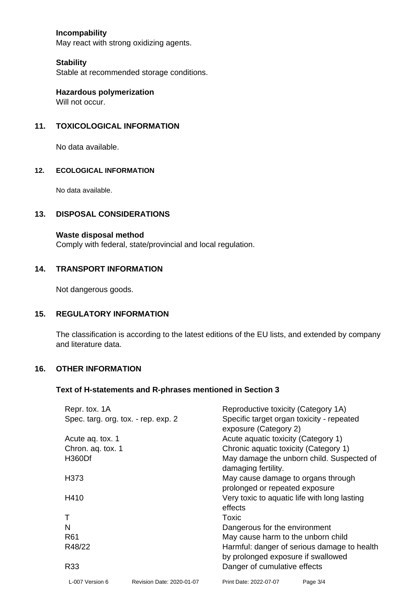## **Incompability**

May react with strong oxidizing agents.

#### **Stability**

Stable at recommended storage conditions.

**Hazardous polymerization** Will not occur.

### **11. TOXICOLOGICAL INFORMATION**

No data available.

#### **12. ECOLOGICAL INFORMATION**

No data available.

### **13. DISPOSAL CONSIDERATIONS**

#### **Waste disposal method**

Comply with federal, state/provincial and local regulation.

#### **14. TRANSPORT INFORMATION**

Not dangerous goods.

### **15. REGULATORY INFORMATION**

The classification is according to the latest editions of the EU lists, and extended by company and literature data.

#### **16. OTHER INFORMATION**

#### **Text of H-statements and R-phrases mentioned in Section 3**

| Repr. tox. 1A<br>Spec. targ. org. tox. - rep. exp. 2 |                           | Reproductive toxicity (Category 1A)<br>Specific target organ toxicity - repeated<br>exposure (Category 2) |
|------------------------------------------------------|---------------------------|-----------------------------------------------------------------------------------------------------------|
| Acute ag. tox. 1                                     |                           | Acute aquatic toxicity (Category 1)                                                                       |
| Chron. aq. tox. 1                                    |                           | Chronic aquatic toxicity (Category 1)                                                                     |
| <b>H360Df</b>                                        |                           | May damage the unborn child. Suspected of<br>damaging fertility.                                          |
| H373                                                 |                           | May cause damage to organs through<br>prolonged or repeated exposure                                      |
| H410                                                 |                           | Very toxic to aquatic life with long lasting<br>effects                                                   |
|                                                      |                           | Toxic                                                                                                     |
| N                                                    |                           | Dangerous for the environment                                                                             |
| R61                                                  |                           | May cause harm to the unborn child                                                                        |
| R48/22                                               |                           | Harmful: danger of serious damage to health                                                               |
| R33                                                  |                           | by prolonged exposure if swallowed<br>Danger of cumulative effects                                        |
| L-007 Version 6                                      | Revision Date: 2020-01-07 | Page 3/4<br>Print Date: 2022-07-07                                                                        |